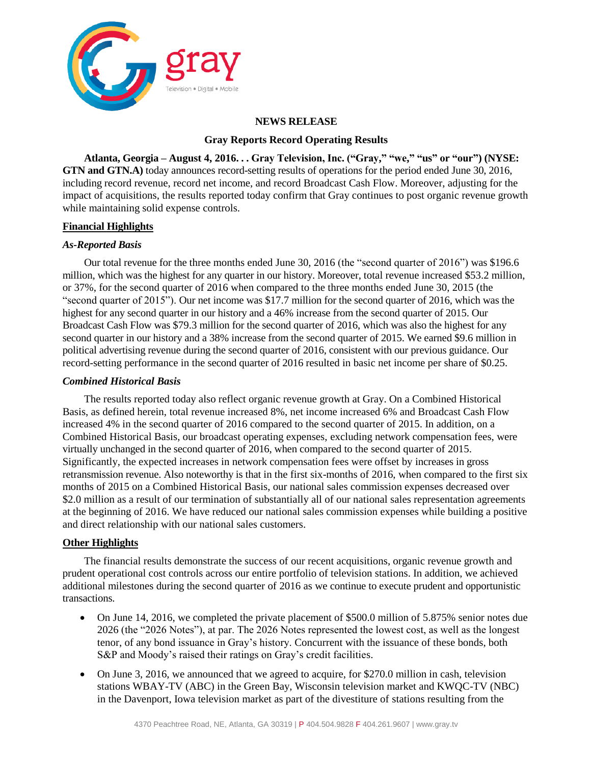

#### **NEWS RELEASE**

#### **Gray Reports Record Operating Results**

**Atlanta, Georgia – August 4, 2016. . . Gray Television, Inc. ("Gray," "we," "us" or "our") (NYSE: GTN and GTN.A)** today announces record-setting results of operations for the period ended June 30, 2016, including record revenue, record net income, and record Broadcast Cash Flow. Moreover, adjusting for the impact of acquisitions, the results reported today confirm that Gray continues to post organic revenue growth while maintaining solid expense controls.

### **Financial Highlights**

#### *As-Reported Basis*

Our total revenue for the three months ended June 30, 2016 (the "second quarter of 2016") was \$196.6 million, which was the highest for any quarter in our history. Moreover, total revenue increased \$53.2 million, or 37%, for the second quarter of 2016 when compared to the three months ended June 30, 2015 (the "second quarter of 2015"). Our net income was \$17.7 million for the second quarter of 2016, which was the highest for any second quarter in our history and a 46% increase from the second quarter of 2015. Our Broadcast Cash Flow was \$79.3 million for the second quarter of 2016, which was also the highest for any second quarter in our history and a 38% increase from the second quarter of 2015. We earned \$9.6 million in political advertising revenue during the second quarter of 2016, consistent with our previous guidance. Our record-setting performance in the second quarter of 2016 resulted in basic net income per share of \$0.25.

#### *Combined Historical Basis*

The results reported today also reflect organic revenue growth at Gray. On a Combined Historical Basis, as defined herein, total revenue increased 8%, net income increased 6% and Broadcast Cash Flow increased 4% in the second quarter of 2016 compared to the second quarter of 2015. In addition, on a Combined Historical Basis, our broadcast operating expenses, excluding network compensation fees, were virtually unchanged in the second quarter of 2016, when compared to the second quarter of 2015. Significantly, the expected increases in network compensation fees were offset by increases in gross retransmission revenue. Also noteworthy is that in the first six-months of 2016, when compared to the first six months of 2015 on a Combined Historical Basis, our national sales commission expenses decreased over \$2.0 million as a result of our termination of substantially all of our national sales representation agreements at the beginning of 2016. We have reduced our national sales commission expenses while building a positive and direct relationship with our national sales customers.

#### **Other Highlights**

The financial results demonstrate the success of our recent acquisitions, organic revenue growth and prudent operational cost controls across our entire portfolio of television stations. In addition, we achieved additional milestones during the second quarter of 2016 as we continue to execute prudent and opportunistic transactions.

- On June 14, 2016, we completed the private placement of \$500.0 million of 5.875% senior notes due 2026 (the "2026 Notes"), at par. The 2026 Notes represented the lowest cost, as well as the longest tenor, of any bond issuance in Gray's history. Concurrent with the issuance of these bonds, both S&P and Moody's raised their ratings on Gray's credit facilities.
- On June 3, 2016, we announced that we agreed to acquire, for \$270.0 million in cash, television stations WBAY-TV (ABC) in the Green Bay, Wisconsin television market and KWQC-TV (NBC) in the Davenport, Iowa television market as part of the divestiture of stations resulting from the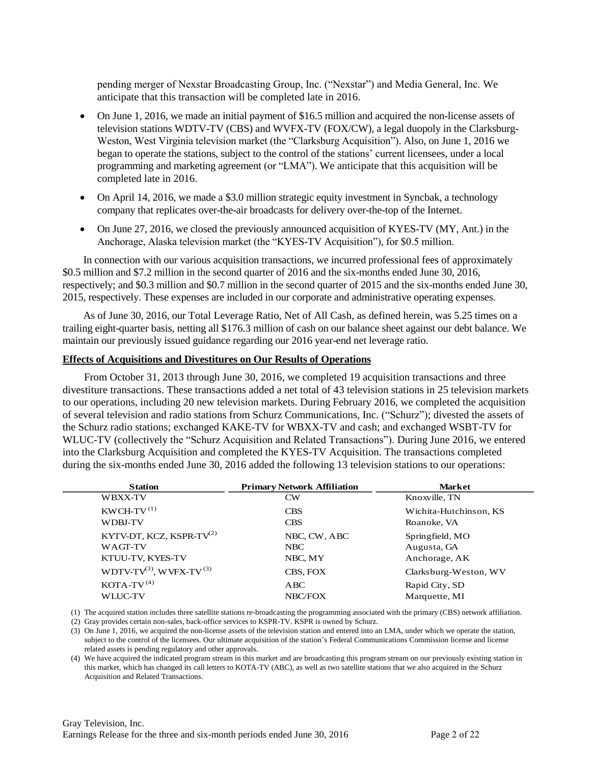pending merger of Nexstar Broadcasting Group, Inc. ("Nexstar") and Media General, Inc. We anticipate that this transaction will be completed late in 2016.

- On June 1, 2016, we made an initial payment of \$16.5 million and acquired the non-license assets of television stations WDTV-TV (CBS) and WVFX-TV (FOX/CW), a legal duopoly in the Clarksburg-Weston, West Virginia television market (the "Clarksburg Acquisition"). Also, on June 1, 2016 we began to operate the stations, subject to the control of the stations' current licensees, under a local programming and marketing agreement (or "LMA"). We anticipate that this acquisition will be completed late in 2016.
- On April 14, 2016, we made a \$3.0 million strategic equity investment in Syncbak, a technology company that replicates over-the-air broadcasts for delivery over-the-top of the Internet.
- On June 27, 2016, we closed the previously announced acquisition of KYES-TV (MY, Ant.) in the Anchorage, Alaska television market (the "KYES-TV Acquisition"), for \$0.5 million.

In connection with our various acquisition transactions, we incurred professional fees of approximately \$0.5 million and \$7.2 million in the second quarter of 2016 and the six-months ended June 30, 2016, respectively; and \$0.3 million and \$0.7 million in the second quarter of 2015 and the six-months ended June 30, 2015, respectively. These expenses are included in our corporate and administrative operating expenses.

As of June 30, 2016, our Total Leverage Ratio, Net of All Cash, as defined herein, was 5.25 times on a trailing eight-quarter basis, netting all \$176.3 million of cash on our balance sheet against our debt balance. We maintain our previously issued guidance regarding our 2016 year-end net leverage ratio.

#### **Effects of Acquisitions and Divestitures on Our Results of Operations**

From October 31, 2013 through June 30, 2016, we completed 19 acquisition transactions and three divestiture transactions. These transactions added a net total of 43 television stations in 25 television markets to our operations, including 20 new television markets. During February 2016, we completed the acquisition of several television and radio stations from Schurz Communications, Inc. ("Schurz"); divested the assets of the Schurz radio stations; exchanged KAKE-TV for WBXX-TV and cash; and exchanged WSBT-TV for WLUC-TV (collectively the "Schurz Acquisition and Related Transactions"). During June 2016, we entered into the Clarksburg Acquisition and completed the KYES-TV Acquisition. The transactions completed during the six-months ended June 30, 2016 added the following 13 television stations to our operations:

| <b>Station</b>                 | <b>Primary Network Affiliation</b> | <b>Market</b>          |
|--------------------------------|------------------------------------|------------------------|
| <b>WBXX-TV</b>                 | CW                                 | Knoxville, TN          |
| $KWCH-TV^{(1)}$                | <b>CBS</b>                         | Wichita-Hutchinson, KS |
| <b>WDBJ-TV</b>                 | <b>CBS</b>                         | Roanoke, VA            |
| KYTV-DT, KCZ, KSPR-TV $^{(2)}$ | NBC, CW, ABC                       | Springfield, MO        |
| <b>WAGT-TV</b>                 | NBC                                | Augusta, GA            |
| KTUU-TV, KYES-TV               | NBC, MY                            | Anchorage, AK          |
| WDTV-TV(3), WVFX-TV(3)         | CBS, FOX                           | Clarksburg-Weston, WV  |
| $KOTA-TV^{(4)}$                | ABC                                | Rapid City, SD         |
| <b>WLUC-TV</b>                 | NBC/FOX                            | Marquette, MI          |

(1) The acquired station includes three satellite stations re-broadcasting the programming associated with the primary (CBS) network affiliation.

(2) Gray provides certain non-sales, back-office services to KSPR-TV. KSPR is owned by Schurz.

(3) On June 1, 2016, we acquired the non-license assets of the television station and entered into an LMA, under which we operate the station, subject to the control of the licensees. Our ultimate acquisition of the station's Federal Communications Commission license and license related assets is pending regulatory and other approvals.

(4) We have acquired the indicated program stream in this market and are broadcasting this program stream on our previously existing station in this market, which has changed its call letters to KOTA-TV (ABC), as well as two satellite stations that we also acquired in the Schurz Acquisition and Related Transactions.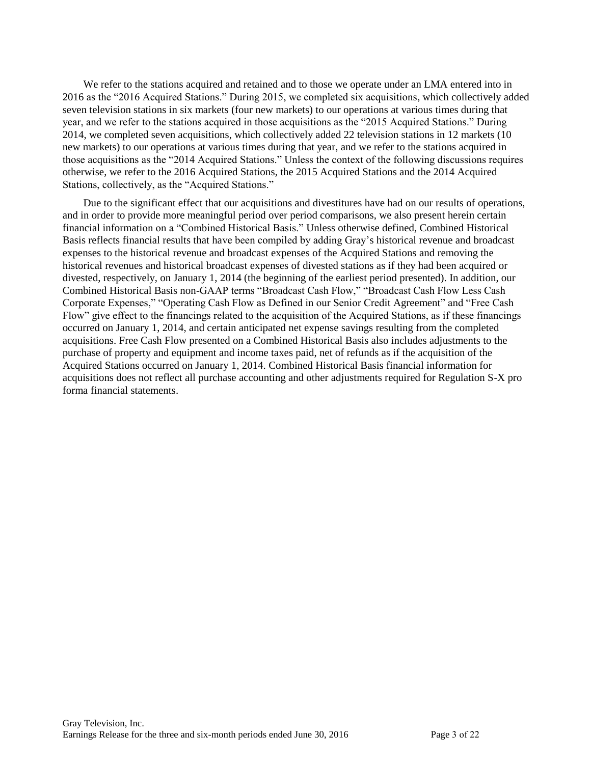We refer to the stations acquired and retained and to those we operate under an LMA entered into in 2016 as the "2016 Acquired Stations." During 2015, we completed six acquisitions, which collectively added seven television stations in six markets (four new markets) to our operations at various times during that year, and we refer to the stations acquired in those acquisitions as the "2015 Acquired Stations." During 2014, we completed seven acquisitions, which collectively added 22 television stations in 12 markets (10 new markets) to our operations at various times during that year, and we refer to the stations acquired in those acquisitions as the "2014 Acquired Stations." Unless the context of the following discussions requires otherwise, we refer to the 2016 Acquired Stations, the 2015 Acquired Stations and the 2014 Acquired Stations, collectively, as the "Acquired Stations."

Due to the significant effect that our acquisitions and divestitures have had on our results of operations, and in order to provide more meaningful period over period comparisons, we also present herein certain financial information on a "Combined Historical Basis." Unless otherwise defined, Combined Historical Basis reflects financial results that have been compiled by adding Gray's historical revenue and broadcast expenses to the historical revenue and broadcast expenses of the Acquired Stations and removing the historical revenues and historical broadcast expenses of divested stations as if they had been acquired or divested, respectively, on January 1, 2014 (the beginning of the earliest period presented). In addition, our Combined Historical Basis non-GAAP terms "Broadcast Cash Flow," "Broadcast Cash Flow Less Cash Corporate Expenses," "Operating Cash Flow as Defined in our Senior Credit Agreement" and "Free Cash Flow" give effect to the financings related to the acquisition of the Acquired Stations, as if these financings occurred on January 1, 2014, and certain anticipated net expense savings resulting from the completed acquisitions. Free Cash Flow presented on a Combined Historical Basis also includes adjustments to the purchase of property and equipment and income taxes paid, net of refunds as if the acquisition of the Acquired Stations occurred on January 1, 2014. Combined Historical Basis financial information for acquisitions does not reflect all purchase accounting and other adjustments required for Regulation S-X pro forma financial statements.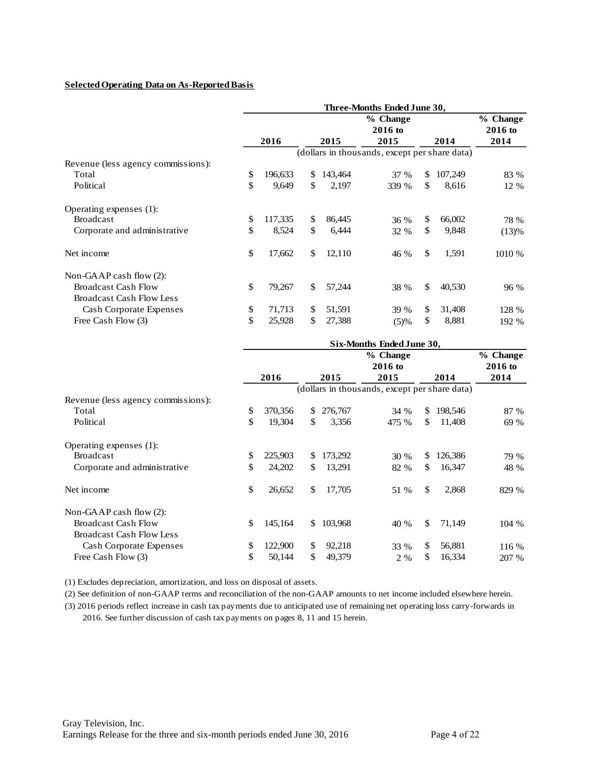#### **Selected Operating Data on As-Reported Basis**

|                                                               | Three-Months Ended June 30,                   |         |    |         |                     |    |         |                     |  |  |
|---------------------------------------------------------------|-----------------------------------------------|---------|----|---------|---------------------|----|---------|---------------------|--|--|
|                                                               |                                               |         |    |         | % Change<br>2016 to |    |         | % Change<br>2016 to |  |  |
|                                                               |                                               | 2016    |    | 2015    | 2015                |    | 2014    | 2014                |  |  |
|                                                               | (dollars in thousands, except per share data) |         |    |         |                     |    |         |                     |  |  |
| Revenue (less agency commissions):                            |                                               |         |    |         |                     |    |         |                     |  |  |
| Total                                                         | \$                                            | 196,633 | \$ | 143,464 | 37 %                | \$ | 107,249 | 83 %                |  |  |
| Political                                                     | \$                                            | 9,649   | \$ | 2,197   | 339 %               | \$ | 8,616   | 12 %                |  |  |
| Operating expenses (1):                                       |                                               |         |    |         |                     |    |         |                     |  |  |
| <b>Broadcast</b>                                              | \$                                            | 117,335 | \$ | 86,445  | 36 %                | \$ | 66,002  | 78 %                |  |  |
| Corporate and administrative                                  | \$                                            | 8,524   | \$ | 6,444   | 32 %                | \$ | 9,848   | (13)%               |  |  |
| Net income                                                    | \$                                            | 17,662  | \$ | 12,110  | 46 %                | \$ | 1,591   | 1010 %              |  |  |
| Non-GAAP cash flow $(2)$ :                                    |                                               |         |    |         |                     |    |         |                     |  |  |
| <b>Broadcast Cash Flow</b><br><b>Broadcast Cash Flow Less</b> | \$                                            | 79,267  | \$ | 57,244  | 38 %                | \$ | 40,530  | 96 %                |  |  |
| <b>Cash Corporate Expenses</b>                                | \$                                            | 71,713  | \$ | 51,591  | 39 %                | \$ | 31,408  | 128 %               |  |  |
| Free Cash Flow (3)                                            | \$                                            | 25,928  | \$ | 27,388  | (5)%                | \$ | 8,881   | 192 %               |  |  |
|                                                               |                                               |         |    |         |                     |    |         |                     |  |  |

| Six-Months Ended June 30, |    |                                                                                  |                       |     |         |                                               |  |  |
|---------------------------|----|----------------------------------------------------------------------------------|-----------------------|-----|---------|-----------------------------------------------|--|--|
|                           |    |                                                                                  | % Change<br>$2016$ to |     |         | % Change<br>2016 to                           |  |  |
| 2016                      |    | 2015                                                                             | 2015                  |     | 2014    | 2014                                          |  |  |
|                           |    |                                                                                  |                       |     |         |                                               |  |  |
|                           |    |                                                                                  |                       |     |         |                                               |  |  |
|                           | \$ | 276,767                                                                          | 34 %                  | \$  | 198,546 | 87 %                                          |  |  |
|                           | \$ | 3,356                                                                            | 475 %                 | S.  | 11,408  | 69 %                                          |  |  |
|                           |    |                                                                                  |                       |     |         |                                               |  |  |
|                           | S  | 173,292                                                                          | 30 %                  | \$. | 126,386 | 79 %                                          |  |  |
|                           | \$ | 13,291                                                                           | 82 %                  | \$. | 16,347  | 48 %                                          |  |  |
|                           | \$ | 17,705                                                                           | 51 %                  | \$  | 2,868   | 829 %                                         |  |  |
|                           |    |                                                                                  |                       |     |         |                                               |  |  |
|                           | \$ | 103,968                                                                          | 40 %                  | \$  | 71,149  | 104 %                                         |  |  |
|                           |    |                                                                                  |                       |     |         |                                               |  |  |
|                           | \$ | 92,218                                                                           | 33 %                  | \$  | 56,881  | 116 %                                         |  |  |
|                           | \$ | 49,379                                                                           | 2 %                   | \$. | 16,334  | 207 %                                         |  |  |
|                           |    | 370,356<br>19,304<br>225,903<br>24,202<br>26,652<br>145,164<br>122,900<br>50,144 |                       |     |         | (dollars in thousands, except per share data) |  |  |

(1) Excludes depreciation, amortization, and loss on disposal of assets.

(2) See definition of non-GAAP terms and reconciliation of the non-GAAP amounts to net income included elsewhere herein.

(3) 2016 periods reflect increase in cash tax payments due to anticipated use of remaining net operating loss carry-forwards in 2016. See further discussion of cash tax payments on pages 8, 11 and 15 herein.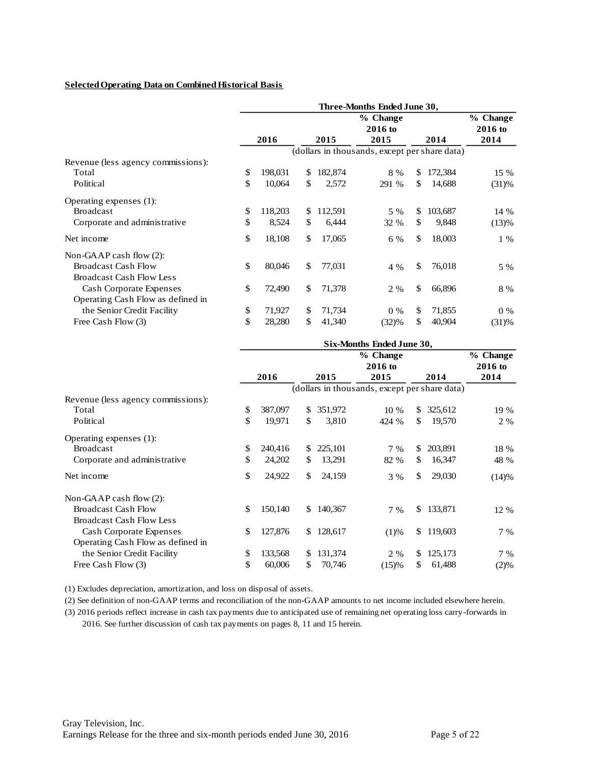#### **Selected Operating Data on Combined Historical Basis**

|                                    | Three-Months Ended June 30, |         |    |         |                                               |     |         |           |  |  |
|------------------------------------|-----------------------------|---------|----|---------|-----------------------------------------------|-----|---------|-----------|--|--|
|                                    |                             |         |    |         | % Change                                      |     |         | % Change  |  |  |
|                                    |                             |         |    |         | 2016 to                                       |     |         | $2016$ to |  |  |
|                                    |                             | 2016    |    | 2015    | 2015                                          |     | 2014    | 2014      |  |  |
|                                    |                             |         |    |         | (dollars in thousands, except per share data) |     |         |           |  |  |
| Revenue (less agency commissions): |                             |         |    |         |                                               |     |         |           |  |  |
| Total                              | \$                          | 198,031 | \$ | 182,874 | 8 %                                           | \$. | 172,384 | 15 %      |  |  |
| Political                          | \$                          | 10,064  | \$ | 2,572   | 291 %                                         | \$  | 14,688  | (31)%     |  |  |
| Operating expenses (1):            |                             |         |    |         |                                               |     |         |           |  |  |
| <b>Broadcast</b>                   | \$                          | 118,203 | \$ | 112,591 | 5 %                                           | \$  | 103,687 | 14 %      |  |  |
| Corporate and administrative       | \$                          | 8,524   | \$ | 6,444   | 32 %                                          | \$  | 9,848   | (13)%     |  |  |
| Net income                         | \$                          | 18,108  | \$ | 17,065  | 6 %                                           | \$  | 18,003  | $1\%$     |  |  |
| Non-GAAP cash flow $(2)$ :         |                             |         |    |         |                                               |     |         |           |  |  |
| <b>Broadcast Cash Flow</b>         | \$                          | 80,046  | \$ | 77,031  | 4 %                                           | \$  | 76,018  | 5 %       |  |  |
| <b>Broadcast Cash Flow Less</b>    |                             |         |    |         |                                               |     |         |           |  |  |
| Cash Corporate Expenses            | \$                          | 72,490  | \$ | 71,378  | 2 %                                           | \$  | 66,896  | 8 %       |  |  |
| Operating Cash Flow as defined in  |                             |         |    |         |                                               |     |         |           |  |  |
| the Senior Credit Facility         | \$                          | 71,927  | \$ | 71,734  | $0\%$                                         | \$  | 71,855  | $0\%$     |  |  |
| Free Cash Flow (3)                 | \$                          | 28,280  | \$ | 41,340  | (32)%                                         | \$  | 40,904  | (31)%     |  |  |

|                                    | Six-Months Ended June 30, |         |     |         |                                               |                       |         |       |  |
|------------------------------------|---------------------------|---------|-----|---------|-----------------------------------------------|-----------------------|---------|-------|--|
|                                    |                           |         |     |         |                                               | % Change<br>$2016$ to |         |       |  |
|                                    |                           | 2016    |     | 2015    | 2015                                          |                       | 2014    | 2014  |  |
|                                    |                           |         |     |         | (dollars in thousands, except per share data) |                       |         |       |  |
| Revenue (less agency commissions): |                           |         |     |         |                                               |                       |         |       |  |
| Total                              | \$                        | 387,097 | \$  | 351,972 | 10 %                                          | \$                    | 325,612 | 19 %  |  |
| Political                          | \$                        | 19,971  | \$  | 3,810   | 424 %                                         | S                     | 19,570  | 2 %   |  |
| Operating expenses (1):            |                           |         |     |         |                                               |                       |         |       |  |
| <b>Broadcast</b>                   | \$                        | 240,416 | S.  | 225,101 | $7\%$                                         | \$.                   | 203,891 | 18 %  |  |
| Corporate and administrative       | \$                        | 24,202  | \$  | 13,291  | 82 %                                          | S                     | 16,347  | 48 %  |  |
| Net income                         | \$                        | 24,922  | \$  | 24,159  | 3 %                                           | \$                    | 29,030  | (14)% |  |
| Non-GAAP cash flow $(2)$ :         |                           |         |     |         |                                               |                       |         |       |  |
| <b>Broadcast Cash Flow</b>         | \$                        | 150,140 | \$. | 140,367 | $7\%$                                         | \$.                   | 133,871 | 12 %  |  |
| <b>Broadcast Cash Flow Less</b>    |                           |         |     |         |                                               |                       |         |       |  |
| Cash Corporate Expenses            | \$                        | 127,876 | \$. | 128,617 | (1)%                                          | \$.                   | 119,603 | 7 %   |  |
| Operating Cash Flow as defined in  |                           |         |     |         |                                               |                       |         |       |  |
| the Senior Credit Facility         | \$                        | 133,568 | \$  | 131,374 | 2 %                                           | S                     | 125,173 | 7 %   |  |
| Free Cash Flow (3)                 | \$                        | 60,006  | \$  | 70,746  | (15)%                                         | S                     | 61,488  | (2)%  |  |

(1) Excludes depreciation, amortization, and loss on disposal of assets.

(2) See definition of non-GAAP terms and reconciliation of the non-GAAP amounts to net income included elsewhere herein.

(3) 2016 periods reflect increase in cash tax payments due to anticipated use of remaining net operating loss carry-forwards in 2016. See further discussion of cash tax payments on pages 8, 11 and 15 herein.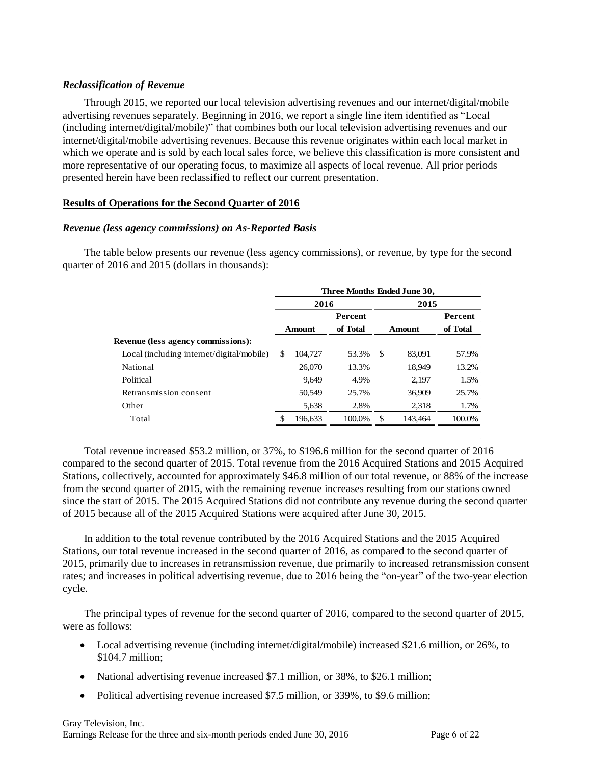#### *Reclassification of Revenue*

Through 2015, we reported our local television advertising revenues and our internet/digital/mobile advertising revenues separately. Beginning in 2016, we report a single line item identified as "Local (including internet/digital/mobile)" that combines both our local television advertising revenues and our internet/digital/mobile advertising revenues. Because this revenue originates within each local market in which we operate and is sold by each local sales force, we believe this classification is more consistent and more representative of our operating focus, to maximize all aspects of local revenue. All prior periods presented herein have been reclassified to reflect our current presentation.

#### **Results of Operations for the Second Quarter of 2016**

#### *Revenue (less agency commissions) on As-Reported Basis*

The table below presents our revenue (less agency commissions), or revenue, by type for the second quarter of 2016 and 2015 (dollars in thousands):

|                                           | Three Months Ended June 30, |         |                |        |         |                |  |  |  |  |
|-------------------------------------------|-----------------------------|---------|----------------|--------|---------|----------------|--|--|--|--|
|                                           |                             | 2016    |                |        | 2015    |                |  |  |  |  |
|                                           |                             |         | <b>Percent</b> |        |         | <b>Percent</b> |  |  |  |  |
|                                           |                             | Amount  | of Total       | Amount |         | of Total       |  |  |  |  |
| Revenue (less agency commissions):        |                             |         |                |        |         |                |  |  |  |  |
| Local (including internet/digital/mobile) | \$                          | 104,727 | 53.3%          | \$.    | 83.091  | 57.9%          |  |  |  |  |
| National                                  |                             | 26,070  | 13.3%          |        | 18,949  | 13.2%          |  |  |  |  |
| Political                                 |                             | 9.649   | 4.9%           |        | 2.197   | 1.5%           |  |  |  |  |
| Retransmission consent                    |                             | 50,549  | 25.7%          |        | 36,909  | 25.7%          |  |  |  |  |
| Other                                     |                             | 5,638   | 2.8%           |        | 2.318   | 1.7%           |  |  |  |  |
| Total                                     | S                           | 196,633 | 100.0%         | \$.    | 143.464 | 100.0%         |  |  |  |  |

Total revenue increased \$53.2 million, or 37%, to \$196.6 million for the second quarter of 2016 compared to the second quarter of 2015. Total revenue from the 2016 Acquired Stations and 2015 Acquired Stations, collectively, accounted for approximately \$46.8 million of our total revenue, or 88% of the increase from the second quarter of 2015, with the remaining revenue increases resulting from our stations owned since the start of 2015. The 2015 Acquired Stations did not contribute any revenue during the second quarter of 2015 because all of the 2015 Acquired Stations were acquired after June 30, 2015.

In addition to the total revenue contributed by the 2016 Acquired Stations and the 2015 Acquired Stations, our total revenue increased in the second quarter of 2016, as compared to the second quarter of 2015, primarily due to increases in retransmission revenue, due primarily to increased retransmission consent rates; and increases in political advertising revenue, due to 2016 being the "on-year" of the two-year election cycle.

The principal types of revenue for the second quarter of 2016, compared to the second quarter of 2015, were as follows:

- Local advertising revenue (including internet/digital/mobile) increased \$21.6 million, or 26%, to \$104.7 million;
- National advertising revenue increased \$7.1 million, or 38%, to \$26.1 million;
- Political advertising revenue increased \$7.5 million, or 339%, to \$9.6 million;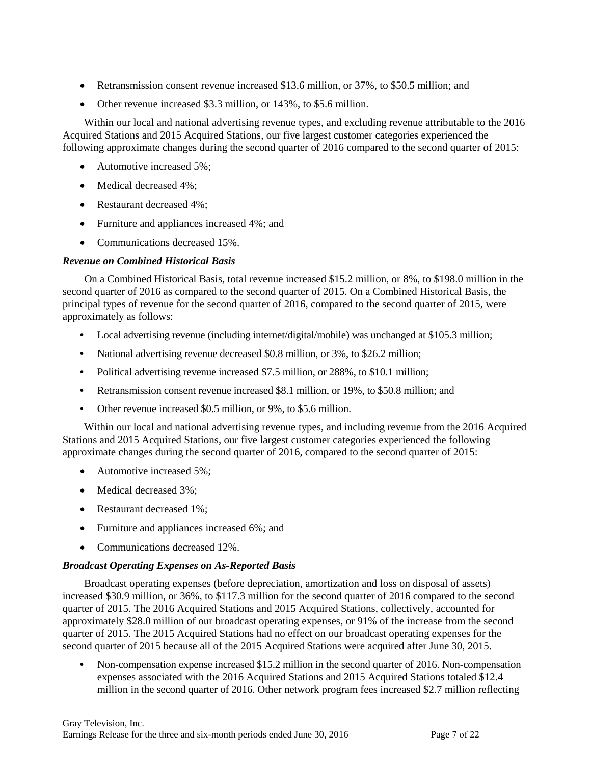- Retransmission consent revenue increased \$13.6 million, or 37%, to \$50.5 million; and
- Other revenue increased \$3.3 million, or 143%, to \$5.6 million.

Within our local and national advertising revenue types, and excluding revenue attributable to the 2016 Acquired Stations and 2015 Acquired Stations, our five largest customer categories experienced the following approximate changes during the second quarter of 2016 compared to the second quarter of 2015:

- Automotive increased 5%;
- Medical decreased 4%;
- Restaurant decreased 4%;
- Furniture and appliances increased 4%; and
- Communications decreased 15%.

# *Revenue on Combined Historical Basis*

On a Combined Historical Basis, total revenue increased \$15.2 million, or 8%, to \$198.0 million in the second quarter of 2016 as compared to the second quarter of 2015. On a Combined Historical Basis, the principal types of revenue for the second quarter of 2016, compared to the second quarter of 2015, were approximately as follows:

- **•** Local advertising revenue (including internet/digital/mobile) was unchanged at \$105.3 million;
- National advertising revenue decreased \$0.8 million, or 3%, to \$26.2 million;
- Political advertising revenue increased \$7.5 million, or 288%, to \$10.1 million;
- **•** Retransmission consent revenue increased \$8.1 million, or 19%, to \$50.8 million; and
- Other revenue increased \$0.5 million, or 9%, to \$5.6 million.

Within our local and national advertising revenue types, and including revenue from the 2016 Acquired Stations and 2015 Acquired Stations, our five largest customer categories experienced the following approximate changes during the second quarter of 2016, compared to the second quarter of 2015:

- Automotive increased 5%;
- Medical decreased 3%:
- Restaurant decreased 1%;
- Furniture and appliances increased 6%; and
- Communications decreased 12%.

# *Broadcast Operating Expenses on As-Reported Basis*

Broadcast operating expenses (before depreciation, amortization and loss on disposal of assets) increased \$30.9 million, or 36%, to \$117.3 million for the second quarter of 2016 compared to the second quarter of 2015. The 2016 Acquired Stations and 2015 Acquired Stations, collectively, accounted for approximately \$28.0 million of our broadcast operating expenses, or 91% of the increase from the second quarter of 2015. The 2015 Acquired Stations had no effect on our broadcast operating expenses for the second quarter of 2015 because all of the 2015 Acquired Stations were acquired after June 30, 2015.

**•** Non-compensation expense increased \$15.2 million in the second quarter of 2016. Non-compensation expenses associated with the 2016 Acquired Stations and 2015 Acquired Stations totaled \$12.4 million in the second quarter of 2016. Other network program fees increased \$2.7 million reflecting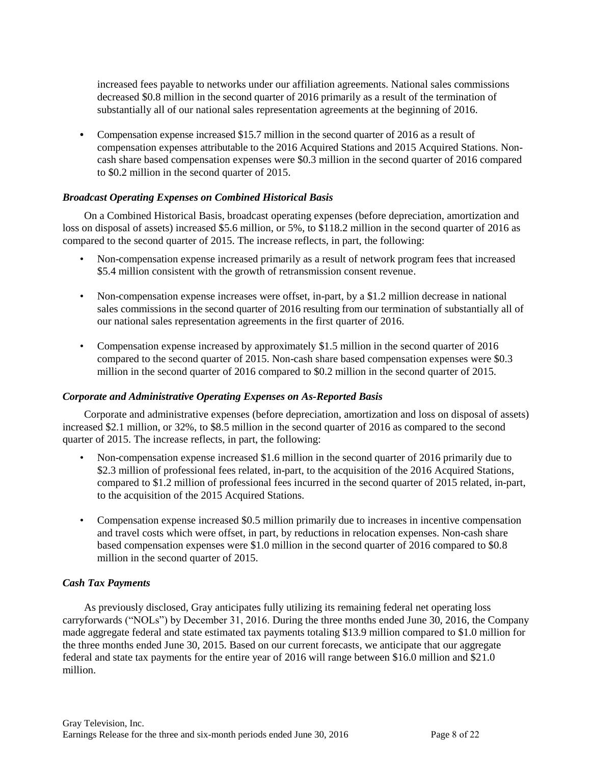increased fees payable to networks under our affiliation agreements. National sales commissions decreased \$0.8 million in the second quarter of 2016 primarily as a result of the termination of substantially all of our national sales representation agreements at the beginning of 2016.

• Compensation expense increased \$15.7 million in the second quarter of 2016 as a result of compensation expenses attributable to the 2016 Acquired Stations and 2015 Acquired Stations. Noncash share based compensation expenses were \$0.3 million in the second quarter of 2016 compared to \$0.2 million in the second quarter of 2015.

#### *Broadcast Operating Expenses on Combined Historical Basis*

On a Combined Historical Basis, broadcast operating expenses (before depreciation, amortization and loss on disposal of assets) increased \$5.6 million, or 5%, to \$118.2 million in the second quarter of 2016 as compared to the second quarter of 2015. The increase reflects, in part, the following:

- Non-compensation expense increased primarily as a result of network program fees that increased \$5.4 million consistent with the growth of retransmission consent revenue.
- Non-compensation expense increases were offset, in-part, by a \$1.2 million decrease in national sales commissions in the second quarter of 2016 resulting from our termination of substantially all of our national sales representation agreements in the first quarter of 2016.
- Compensation expense increased by approximately \$1.5 million in the second quarter of 2016 compared to the second quarter of 2015. Non-cash share based compensation expenses were \$0.3 million in the second quarter of 2016 compared to \$0.2 million in the second quarter of 2015.

#### *Corporate and Administrative Operating Expenses on As-Reported Basis*

Corporate and administrative expenses (before depreciation, amortization and loss on disposal of assets) increased \$2.1 million, or 32%, to \$8.5 million in the second quarter of 2016 as compared to the second quarter of 2015. The increase reflects, in part, the following:

- Non-compensation expense increased \$1.6 million in the second quarter of 2016 primarily due to \$2.3 million of professional fees related, in-part, to the acquisition of the 2016 Acquired Stations, compared to \$1.2 million of professional fees incurred in the second quarter of 2015 related, in-part, to the acquisition of the 2015 Acquired Stations.
- Compensation expense increased \$0.5 million primarily due to increases in incentive compensation and travel costs which were offset, in part, by reductions in relocation expenses. Non-cash share based compensation expenses were \$1.0 million in the second quarter of 2016 compared to \$0.8 million in the second quarter of 2015.

# *Cash Tax Payments*

As previously disclosed, Gray anticipates fully utilizing its remaining federal net operating loss carryforwards ("NOLs") by December 31, 2016. During the three months ended June 30, 2016, the Company made aggregate federal and state estimated tax payments totaling \$13.9 million compared to \$1.0 million for the three months ended June 30, 2015. Based on our current forecasts, we anticipate that our aggregate federal and state tax payments for the entire year of 2016 will range between \$16.0 million and \$21.0 million.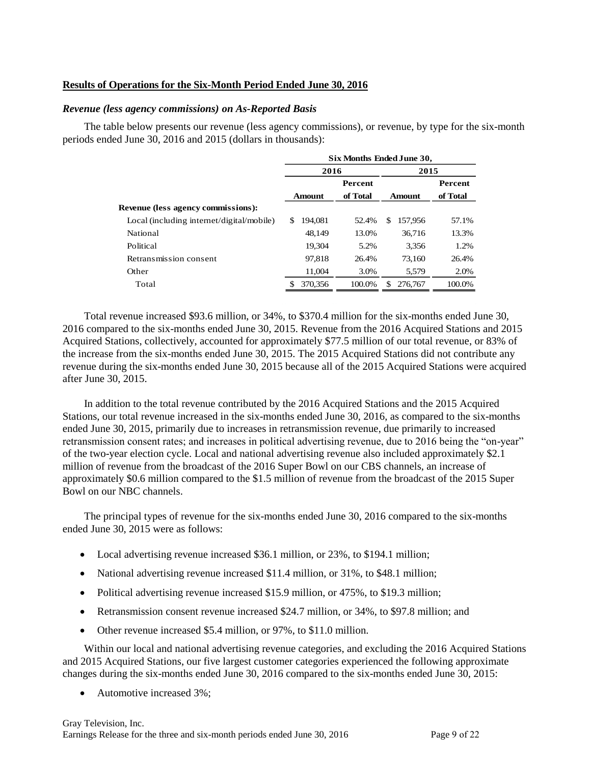#### **Results of Operations for the Six-Month Period Ended June 30, 2016**

#### *Revenue (less agency commissions) on As-Reported Basis*

The table below presents our revenue (less agency commissions), or revenue, by type for the six-month periods ended June 30, 2016 and 2015 (dollars in thousands):

|                                           | Six Months Ended June 30, |                |               |                |  |  |  |  |  |  |  |
|-------------------------------------------|---------------------------|----------------|---------------|----------------|--|--|--|--|--|--|--|
|                                           | 2016                      |                | 2015          |                |  |  |  |  |  |  |  |
|                                           |                           | <b>Percent</b> |               | <b>Percent</b> |  |  |  |  |  |  |  |
|                                           | <b>Amount</b>             | of Total       | Amount        | of Total       |  |  |  |  |  |  |  |
| Revenue (less agency commissions):        |                           |                |               |                |  |  |  |  |  |  |  |
| Local (including internet/digital/mobile) | \$.<br>194.081            | 52.4%          | \$<br>157,956 | 57.1%          |  |  |  |  |  |  |  |
| National                                  | 48.149                    | 13.0%          | 36,716        | 13.3%          |  |  |  |  |  |  |  |
| Political                                 | 19.304                    | 5.2%           | 3.356         | 1.2%           |  |  |  |  |  |  |  |
| Retransmission consent                    | 97.818                    | 26.4%          | 73.160        | 26.4%          |  |  |  |  |  |  |  |
| Other                                     | 11,004                    | 3.0%           | 5,579         | 2.0%           |  |  |  |  |  |  |  |
| Total                                     | \$<br>370,356             | 100.0%         | \$<br>276,767 | 100.0%         |  |  |  |  |  |  |  |

Total revenue increased \$93.6 million, or 34%, to \$370.4 million for the six-months ended June 30, 2016 compared to the six-months ended June 30, 2015. Revenue from the 2016 Acquired Stations and 2015 Acquired Stations, collectively, accounted for approximately \$77.5 million of our total revenue, or 83% of the increase from the six-months ended June 30, 2015. The 2015 Acquired Stations did not contribute any revenue during the six-months ended June 30, 2015 because all of the 2015 Acquired Stations were acquired after June 30, 2015.

In addition to the total revenue contributed by the 2016 Acquired Stations and the 2015 Acquired Stations, our total revenue increased in the six-months ended June 30, 2016, as compared to the six-months ended June 30, 2015, primarily due to increases in retransmission revenue, due primarily to increased retransmission consent rates; and increases in political advertising revenue, due to 2016 being the "on-year" of the two-year election cycle. Local and national advertising revenue also included approximately \$2.1 million of revenue from the broadcast of the 2016 Super Bowl on our CBS channels, an increase of approximately \$0.6 million compared to the \$1.5 million of revenue from the broadcast of the 2015 Super Bowl on our NBC channels.

The principal types of revenue for the six-months ended June 30, 2016 compared to the six-months ended June 30, 2015 were as follows:

- Local advertising revenue increased \$36.1 million, or 23%, to \$194.1 million;
- National advertising revenue increased \$11.4 million, or 31%, to \$48.1 million;
- Political advertising revenue increased \$15.9 million, or 475%, to \$19.3 million;
- Retransmission consent revenue increased \$24.7 million, or 34%, to \$97.8 million; and
- Other revenue increased \$5.4 million, or 97%, to \$11.0 million.

Within our local and national advertising revenue categories, and excluding the 2016 Acquired Stations and 2015 Acquired Stations, our five largest customer categories experienced the following approximate changes during the six-months ended June 30, 2016 compared to the six-months ended June 30, 2015:

• Automotive increased 3%: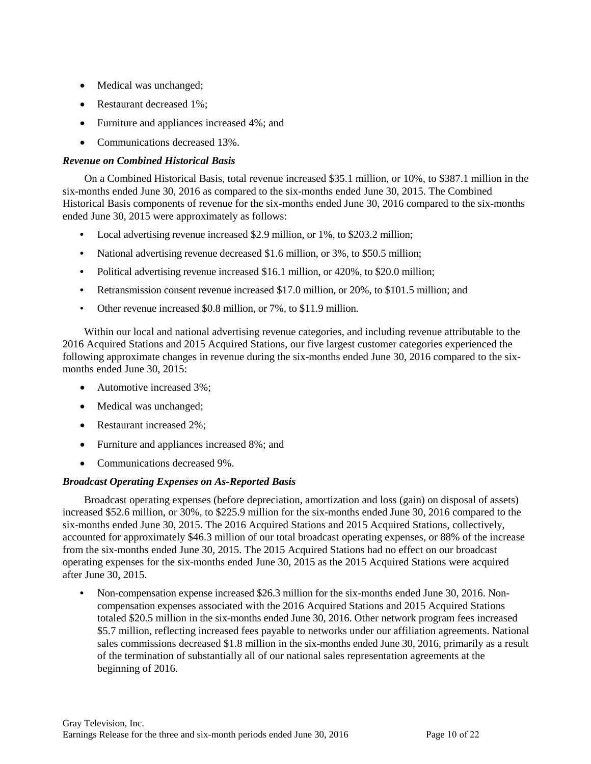- Medical was unchanged;
- Restaurant decreased 1%;
- Furniture and appliances increased 4%; and
- Communications decreased 13%.

### *Revenue on Combined Historical Basis*

On a Combined Historical Basis, total revenue increased \$35.1 million, or 10%, to \$387.1 million in the six-months ended June 30, 2016 as compared to the six-months ended June 30, 2015. The Combined Historical Basis components of revenue for the six-months ended June 30, 2016 compared to the six-months ended June 30, 2015 were approximately as follows:

- **•** Local advertising revenue increased \$2.9 million, or 1%, to \$203.2 million;
- **•** National advertising revenue decreased \$1.6 million, or 3%, to \$50.5 million;
- Political advertising revenue increased \$16.1 million, or 420%, to \$20.0 million;
- **•** Retransmission consent revenue increased \$17.0 million, or 20%, to \$101.5 million; and
- Other revenue increased \$0.8 million, or 7%, to \$11.9 million.

Within our local and national advertising revenue categories, and including revenue attributable to the 2016 Acquired Stations and 2015 Acquired Stations, our five largest customer categories experienced the following approximate changes in revenue during the six-months ended June 30, 2016 compared to the sixmonths ended June 30, 2015:

- Automotive increased 3%;
- Medical was unchanged;
- Restaurant increased 2%;
- Furniture and appliances increased 8%; and
- Communications decreased 9%.

#### *Broadcast Operating Expenses on As-Reported Basis*

Broadcast operating expenses (before depreciation, amortization and loss (gain) on disposal of assets) increased \$52.6 million, or 30%, to \$225.9 million for the six-months ended June 30, 2016 compared to the six-months ended June 30, 2015. The 2016 Acquired Stations and 2015 Acquired Stations, collectively, accounted for approximately \$46.3 million of our total broadcast operating expenses, or 88% of the increase from the six-months ended June 30, 2015. The 2015 Acquired Stations had no effect on our broadcast operating expenses for the six-months ended June 30, 2015 as the 2015 Acquired Stations were acquired after June 30, 2015.

**•** Non-compensation expense increased \$26.3 million for the six-months ended June 30, 2016. Noncompensation expenses associated with the 2016 Acquired Stations and 2015 Acquired Stations totaled \$20.5 million in the six-months ended June 30, 2016. Other network program fees increased \$5.7 million, reflecting increased fees payable to networks under our affiliation agreements. National sales commissions decreased \$1.8 million in the six-months ended June 30, 2016, primarily as a result of the termination of substantially all of our national sales representation agreements at the beginning of 2016.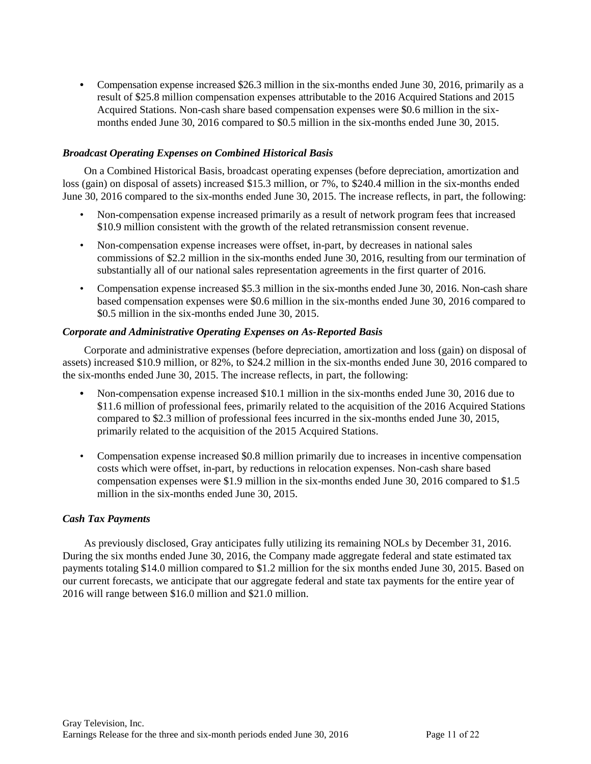**•** Compensation expense increased \$26.3 million in the six-months ended June 30, 2016, primarily as a result of \$25.8 million compensation expenses attributable to the 2016 Acquired Stations and 2015 Acquired Stations. Non-cash share based compensation expenses were \$0.6 million in the sixmonths ended June 30, 2016 compared to \$0.5 million in the six-months ended June 30, 2015.

### *Broadcast Operating Expenses on Combined Historical Basis*

On a Combined Historical Basis, broadcast operating expenses (before depreciation, amortization and loss (gain) on disposal of assets) increased \$15.3 million, or 7%, to \$240.4 million in the six-months ended June 30, 2016 compared to the six-months ended June 30, 2015. The increase reflects, in part, the following:

- Non-compensation expense increased primarily as a result of network program fees that increased \$10.9 million consistent with the growth of the related retransmission consent revenue.
- Non-compensation expense increases were offset, in-part, by decreases in national sales commissions of \$2.2 million in the six-months ended June 30, 2016, resulting from our termination of substantially all of our national sales representation agreements in the first quarter of 2016.
- Compensation expense increased \$5.3 million in the six-months ended June 30, 2016. Non-cash share based compensation expenses were \$0.6 million in the six-months ended June 30, 2016 compared to \$0.5 million in the six-months ended June 30, 2015.

### *Corporate and Administrative Operating Expenses on As-Reported Basis*

Corporate and administrative expenses (before depreciation, amortization and loss (gain) on disposal of assets) increased \$10.9 million, or 82%, to \$24.2 million in the six-months ended June 30, 2016 compared to the six-months ended June 30, 2015. The increase reflects, in part, the following:

- Non-compensation expense increased \$10.1 million in the six-months ended June 30, 2016 due to \$11.6 million of professional fees, primarily related to the acquisition of the 2016 Acquired Stations compared to \$2.3 million of professional fees incurred in the six-months ended June 30, 2015, primarily related to the acquisition of the 2015 Acquired Stations.
- Compensation expense increased \$0.8 million primarily due to increases in incentive compensation costs which were offset, in-part, by reductions in relocation expenses. Non-cash share based compensation expenses were \$1.9 million in the six-months ended June 30, 2016 compared to \$1.5 million in the six-months ended June 30, 2015.

#### *Cash Tax Payments*

As previously disclosed, Gray anticipates fully utilizing its remaining NOLs by December 31, 2016. During the six months ended June 30, 2016, the Company made aggregate federal and state estimated tax payments totaling \$14.0 million compared to \$1.2 million for the six months ended June 30, 2015. Based on our current forecasts, we anticipate that our aggregate federal and state tax payments for the entire year of 2016 will range between \$16.0 million and \$21.0 million.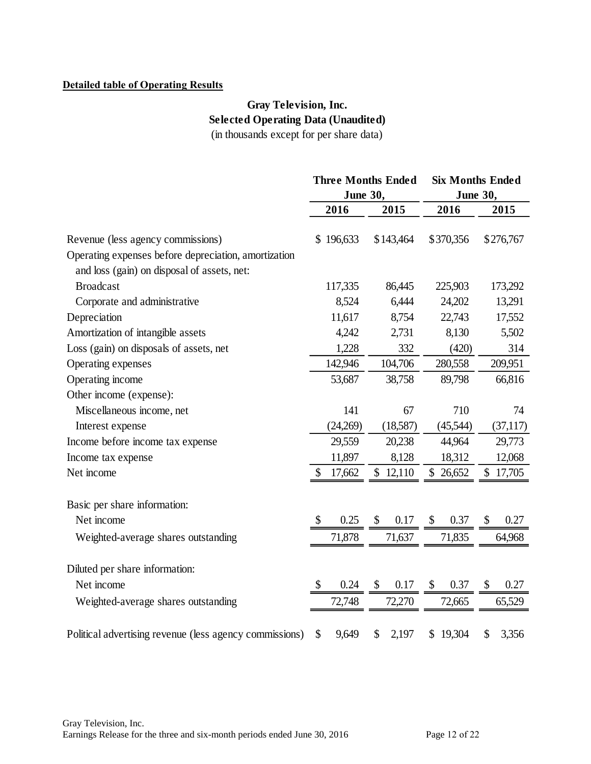# **Detailed table of Operating Results**

# **Gray Television, Inc. Selected Operating Data (Unaudited)** (in thousands except for per share data)

|                                                         | Three Months Ended |                 |    | <b>Six Months Ended</b> |    |                 |    |           |
|---------------------------------------------------------|--------------------|-----------------|----|-------------------------|----|-----------------|----|-----------|
|                                                         |                    | <b>June 30,</b> |    |                         |    | <b>June 30,</b> |    |           |
|                                                         |                    | 2016            |    | 2015                    |    | 2016            |    | 2015      |
|                                                         |                    |                 |    |                         |    |                 |    |           |
| Revenue (less agency commissions)                       | \$                 | 196,633         |    | \$143,464               |    | \$370,356       |    | \$276,767 |
| Operating expenses before depreciation, amortization    |                    |                 |    |                         |    |                 |    |           |
| and loss (gain) on disposal of assets, net:             |                    |                 |    |                         |    |                 |    |           |
| <b>Broadcast</b>                                        |                    | 117,335         |    | 86,445                  |    | 225,903         |    | 173,292   |
| Corporate and administrative                            |                    | 8,524           |    | 6,444                   |    | 24,202          |    | 13,291    |
| Depreciation                                            |                    | 11,617          |    | 8,754                   |    | 22,743          |    | 17,552    |
| Amortization of intangible assets                       |                    | 4,242           |    | 2,731                   |    | 8,130           |    | 5,502     |
| Loss (gain) on disposals of assets, net                 |                    | 1,228           |    | 332                     |    | (420)           |    | 314       |
| Operating expenses                                      |                    | 142,946         |    | 104,706                 |    | 280,558         |    | 209,951   |
| Operating income                                        |                    | 53,687          |    | 38,758                  |    | 89,798          |    | 66,816    |
| Other income (expense):                                 |                    |                 |    |                         |    |                 |    |           |
| Miscellaneous income, net                               |                    | 141             |    | 67                      |    | 710             |    | 74        |
| Interest expense                                        |                    | (24,269)        |    | (18,587)                |    | (45,544)        |    | (37, 117) |
| Income before income tax expense                        |                    | 29,559          |    | 20,238                  |    | 44,964          |    | 29,773    |
| Income tax expense                                      |                    | 11,897          |    | 8,128                   |    | 18,312          |    | 12,068    |
| Net income                                              | \$                 | 17,662          |    | \$12,110                |    | \$26,652        |    | \$17,705  |
| Basic per share information:                            |                    |                 |    |                         |    |                 |    |           |
| Net income                                              |                    | 0.25            | \$ | 0.17                    | \$ | 0.37            | \$ | 0.27      |
| Weighted-average shares outstanding                     |                    | 71,878          |    | 71,637                  |    | 71,835          |    | 64,968    |
|                                                         |                    |                 |    |                         |    |                 |    |           |
| Diluted per share information:                          |                    |                 |    |                         |    |                 |    |           |
| Net income                                              | S                  | 0.24            | \$ | 0.17                    | \$ | 0.37            | \$ | 0.27      |
| Weighted-average shares outstanding                     |                    | 72,748          |    | 72,270                  |    | 72,665          |    | 65,529    |
| Political advertising revenue (less agency commissions) | \$                 | 9,649           | \$ | 2,197                   | \$ | 19,304          | \$ | 3,356     |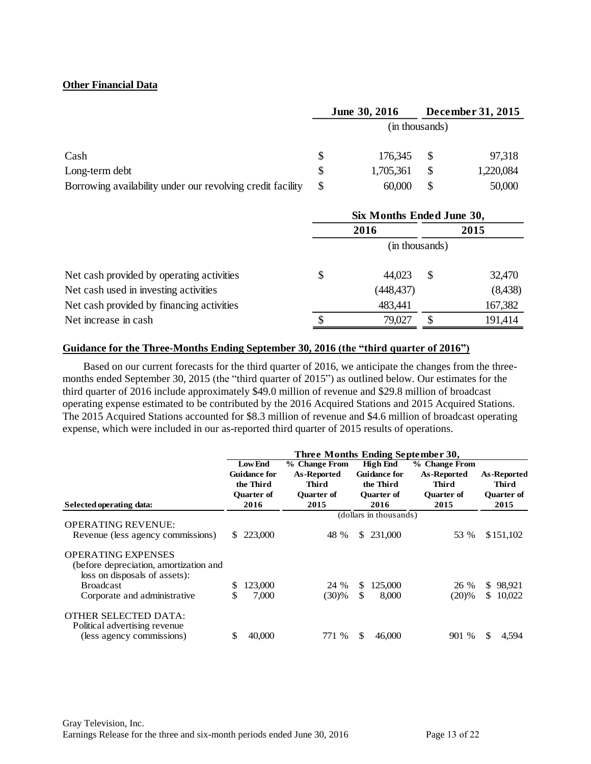### **Other Financial Data**

|                                                            | June 30, 2016  |           | December 31, 2015 |           |  |  |  |
|------------------------------------------------------------|----------------|-----------|-------------------|-----------|--|--|--|
|                                                            | (in thousands) |           |                   |           |  |  |  |
| Cash                                                       |                | 176,345   |                   | 97,318    |  |  |  |
| Long-term debt                                             |                | 1,705,361 |                   | 1,220,084 |  |  |  |
| Borrowing availability under our revolving credit facility | \$             | 60,000    |                   | 50,000    |  |  |  |

|                                           | Six Months Ended June 30, |                |               |          |  |  |  |
|-------------------------------------------|---------------------------|----------------|---------------|----------|--|--|--|
|                                           |                           | 2016           |               | 2015     |  |  |  |
|                                           |                           | (in thousands) |               |          |  |  |  |
| Net cash provided by operating activities |                           | 44.023         | <sup>\$</sup> | 32,470   |  |  |  |
| Net cash used in investing activities     |                           | (448,437)      |               | (8, 438) |  |  |  |
| Net cash provided by financing activities |                           | 483,441        |               | 167,382  |  |  |  |
| Net increase in cash                      |                           | 79,027         |               | 191,414  |  |  |  |

#### **Guidance for the Three-Months Ending September 30, 2016 (the "third quarter of 2016")**

Based on our current forecasts for the third quarter of 2016, we anticipate the changes from the threemonths ended September 30, 2015 (the "third quarter of 2015") as outlined below. Our estimates for the third quarter of 2016 include approximately \$49.0 million of revenue and \$29.8 million of broadcast operating expense estimated to be contributed by the 2016 Acquired Stations and 2015 Acquired Stations. The 2015 Acquired Stations accounted for \$8.3 million of revenue and \$4.6 million of broadcast operating

| The 2013 Acquired Stations accounted for \$6.5 million of revenue and \$4.0 million of proadcast operating<br>expense, which were included in our as-reported third quarter of 2015 results of operations. |         |                                                                                 |                                                                    |           |                                                                                  |                                                                    |                                                                 |  |  |
|------------------------------------------------------------------------------------------------------------------------------------------------------------------------------------------------------------|---------|---------------------------------------------------------------------------------|--------------------------------------------------------------------|-----------|----------------------------------------------------------------------------------|--------------------------------------------------------------------|-----------------------------------------------------------------|--|--|
| Three Months Ending September 30,                                                                                                                                                                          |         |                                                                                 |                                                                    |           |                                                                                  |                                                                    |                                                                 |  |  |
| Selected operating data:                                                                                                                                                                                   |         | <b>Low End</b><br><b>Guidance for</b><br>the Third<br><b>Quarter of</b><br>2016 | % Change From<br>As-Reported<br><b>Third</b><br>Quarter of<br>2015 |           | <b>High End</b><br><b>Guidance for</b><br>the Third<br><b>Ouarter of</b><br>2016 | % Change From<br>As-Reported<br><b>Third</b><br>Quarter of<br>2015 | <b>As-Reported</b><br><b>Third</b><br><b>Quarter of</b><br>2015 |  |  |
| <b>OPERATING REVENUE:</b><br>Revenue (less agency commissions)                                                                                                                                             | S.      | 223,000                                                                         | 48 %                                                               | \$.       | (dollars in thousands)<br>231,000                                                | 53 %                                                               | \$151,102                                                       |  |  |
| <b>OPERATING EXPENSES</b><br>(before depreciation, amortization and<br>loss on disposals of assets):<br><b>Broadcast</b><br>Corporate and administrative                                                   | S<br>\$ | 123,000<br>7,000                                                                | 24 %<br>(30)%                                                      | \$.<br>\$ | 125,000<br>8,000                                                                 | 26 %<br>(20)%                                                      | 98,921<br>\$<br>\$10,022                                        |  |  |
| <b>OTHER SELECTED DATA:</b><br>Political advertising revenue<br>(less agency commissions)                                                                                                                  | S       | 40,000                                                                          | 771 %                                                              | \$        | 46,000                                                                           | 901 %                                                              | S.<br>4,594                                                     |  |  |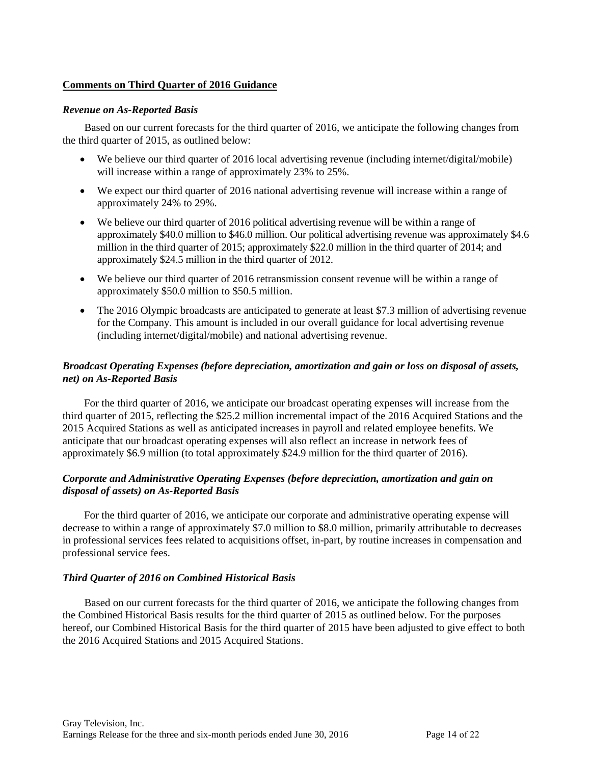#### **Comments on Third Quarter of 2016 Guidance**

#### *Revenue on As-Reported Basis*

Based on our current forecasts for the third quarter of 2016, we anticipate the following changes from the third quarter of 2015, as outlined below:

- We believe our third quarter of 2016 local advertising revenue (including internet/digital/mobile) will increase within a range of approximately 23% to 25%.
- We expect our third quarter of 2016 national advertising revenue will increase within a range of approximately 24% to 29%.
- We believe our third quarter of 2016 political advertising revenue will be within a range of approximately \$40.0 million to \$46.0 million. Our political advertising revenue was approximately \$4.6 million in the third quarter of 2015; approximately \$22.0 million in the third quarter of 2014; and approximately \$24.5 million in the third quarter of 2012.
- We believe our third quarter of 2016 retransmission consent revenue will be within a range of approximately \$50.0 million to \$50.5 million.
- The 2016 Olympic broadcasts are anticipated to generate at least \$7.3 million of advertising revenue for the Company. This amount is included in our overall guidance for local advertising revenue (including internet/digital/mobile) and national advertising revenue.

# *Broadcast Operating Expenses (before depreciation, amortization and gain or loss on disposal of assets, net) on As-Reported Basis*

For the third quarter of 2016, we anticipate our broadcast operating expenses will increase from the third quarter of 2015, reflecting the \$25.2 million incremental impact of the 2016 Acquired Stations and the 2015 Acquired Stations as well as anticipated increases in payroll and related employee benefits. We anticipate that our broadcast operating expenses will also reflect an increase in network fees of approximately \$6.9 million (to total approximately \$24.9 million for the third quarter of 2016).

### *Corporate and Administrative Operating Expenses (before depreciation, amortization and gain on disposal of assets) on As-Reported Basis*

For the third quarter of 2016, we anticipate our corporate and administrative operating expense will decrease to within a range of approximately \$7.0 million to \$8.0 million, primarily attributable to decreases in professional services fees related to acquisitions offset, in-part, by routine increases in compensation and professional service fees.

#### *Third Quarter of 2016 on Combined Historical Basis*

Based on our current forecasts for the third quarter of 2016, we anticipate the following changes from the Combined Historical Basis results for the third quarter of 2015 as outlined below. For the purposes hereof, our Combined Historical Basis for the third quarter of 2015 have been adjusted to give effect to both the 2016 Acquired Stations and 2015 Acquired Stations.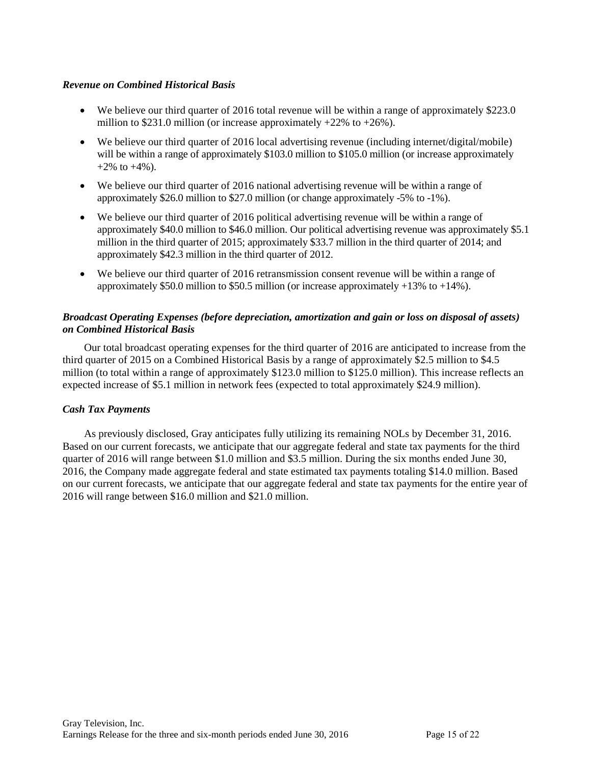### *Revenue on Combined Historical Basis*

- We believe our third quarter of 2016 total revenue will be within a range of approximately \$223.0 million to \$231.0 million (or increase approximately  $+22\%$  to  $+26\%$ ).
- We believe our third quarter of 2016 local advertising revenue (including internet/digital/mobile) will be within a range of approximately \$103.0 million to \$105.0 million (or increase approximately  $+2\%$  to  $+4\%$ ).
- We believe our third quarter of 2016 national advertising revenue will be within a range of approximately \$26.0 million to \$27.0 million (or change approximately -5% to -1%).
- We believe our third quarter of 2016 political advertising revenue will be within a range of approximately \$40.0 million to \$46.0 million. Our political advertising revenue was approximately \$5.1 million in the third quarter of 2015; approximately \$33.7 million in the third quarter of 2014; and approximately \$42.3 million in the third quarter of 2012.
- We believe our third quarter of 2016 retransmission consent revenue will be within a range of approximately  $$50.0$  million to  $$50.5$  million (or increase approximately  $+13\%$  to  $+14\%$ ).

### *Broadcast Operating Expenses (before depreciation, amortization and gain or loss on disposal of assets) on Combined Historical Basis*

Our total broadcast operating expenses for the third quarter of 2016 are anticipated to increase from the third quarter of 2015 on a Combined Historical Basis by a range of approximately \$2.5 million to \$4.5 million (to total within a range of approximately \$123.0 million to \$125.0 million). This increase reflects an expected increase of \$5.1 million in network fees (expected to total approximately \$24.9 million).

# *Cash Tax Payments*

As previously disclosed, Gray anticipates fully utilizing its remaining NOLs by December 31, 2016. Based on our current forecasts, we anticipate that our aggregate federal and state tax payments for the third quarter of 2016 will range between \$1.0 million and \$3.5 million. During the six months ended June 30, 2016, the Company made aggregate federal and state estimated tax payments totaling \$14.0 million. Based on our current forecasts, we anticipate that our aggregate federal and state tax payments for the entire year of 2016 will range between \$16.0 million and \$21.0 million.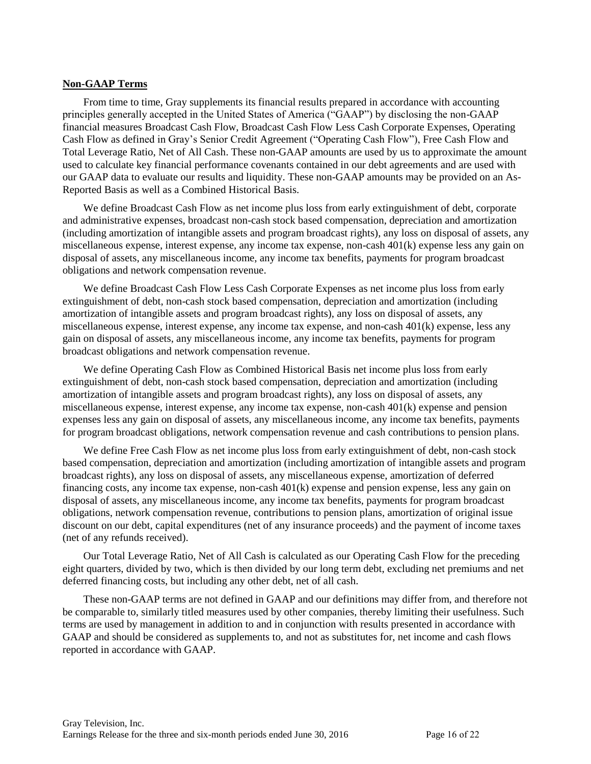#### **Non-GAAP Terms**

From time to time, Gray supplements its financial results prepared in accordance with accounting principles generally accepted in the United States of America ("GAAP") by disclosing the non-GAAP financial measures Broadcast Cash Flow, Broadcast Cash Flow Less Cash Corporate Expenses, Operating Cash Flow as defined in Gray's Senior Credit Agreement ("Operating Cash Flow"), Free Cash Flow and Total Leverage Ratio, Net of All Cash. These non-GAAP amounts are used by us to approximate the amount used to calculate key financial performance covenants contained in our debt agreements and are used with our GAAP data to evaluate our results and liquidity. These non-GAAP amounts may be provided on an As-Reported Basis as well as a Combined Historical Basis.

We define Broadcast Cash Flow as net income plus loss from early extinguishment of debt, corporate and administrative expenses, broadcast non-cash stock based compensation, depreciation and amortization (including amortization of intangible assets and program broadcast rights), any loss on disposal of assets, any miscellaneous expense, interest expense, any income tax expense, non-cash 401(k) expense less any gain on disposal of assets, any miscellaneous income, any income tax benefits, payments for program broadcast obligations and network compensation revenue.

We define Broadcast Cash Flow Less Cash Corporate Expenses as net income plus loss from early extinguishment of debt, non-cash stock based compensation, depreciation and amortization (including amortization of intangible assets and program broadcast rights), any loss on disposal of assets, any miscellaneous expense, interest expense, any income tax expense, and non-cash 401(k) expense, less any gain on disposal of assets, any miscellaneous income, any income tax benefits, payments for program broadcast obligations and network compensation revenue.

We define Operating Cash Flow as Combined Historical Basis net income plus loss from early extinguishment of debt, non-cash stock based compensation, depreciation and amortization (including amortization of intangible assets and program broadcast rights), any loss on disposal of assets, any miscellaneous expense, interest expense, any income tax expense, non-cash 401(k) expense and pension expenses less any gain on disposal of assets, any miscellaneous income, any income tax benefits, payments for program broadcast obligations, network compensation revenue and cash contributions to pension plans.

We define Free Cash Flow as net income plus loss from early extinguishment of debt, non-cash stock based compensation, depreciation and amortization (including amortization of intangible assets and program broadcast rights), any loss on disposal of assets, any miscellaneous expense, amortization of deferred financing costs, any income tax expense, non-cash 401(k) expense and pension expense, less any gain on disposal of assets, any miscellaneous income, any income tax benefits, payments for program broadcast obligations, network compensation revenue, contributions to pension plans, amortization of original issue discount on our debt, capital expenditures (net of any insurance proceeds) and the payment of income taxes (net of any refunds received).

Our Total Leverage Ratio, Net of All Cash is calculated as our Operating Cash Flow for the preceding eight quarters, divided by two, which is then divided by our long term debt, excluding net premiums and net deferred financing costs, but including any other debt, net of all cash.

These non-GAAP terms are not defined in GAAP and our definitions may differ from, and therefore not be comparable to, similarly titled measures used by other companies, thereby limiting their usefulness. Such terms are used by management in addition to and in conjunction with results presented in accordance with GAAP and should be considered as supplements to, and not as substitutes for, net income and cash flows reported in accordance with GAAP.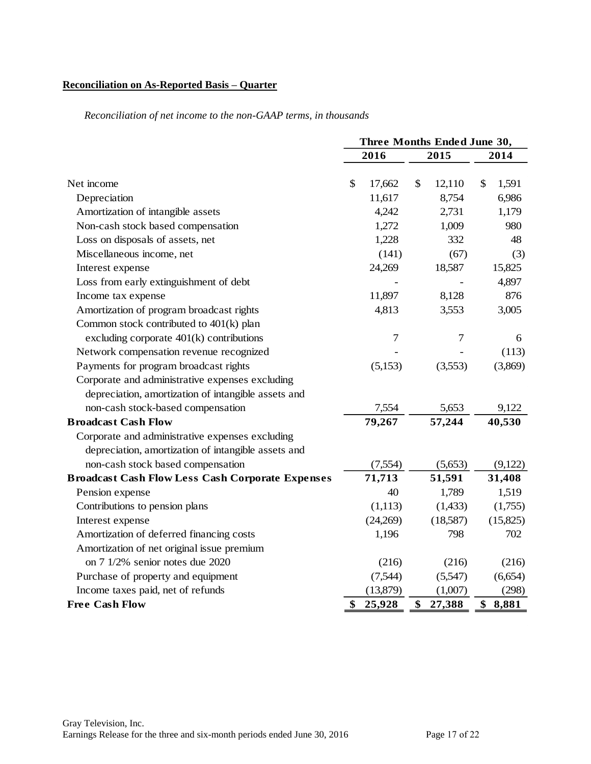### **Reconciliation on As-Reported Basis – Quarter**

|                                                         | Three Months Ended June 30, |              |             |  |  |  |  |
|---------------------------------------------------------|-----------------------------|--------------|-------------|--|--|--|--|
|                                                         | 2016                        | 2015         | 2014        |  |  |  |  |
|                                                         |                             |              |             |  |  |  |  |
| Net income                                              | \$<br>17,662                | \$<br>12,110 | 1,591<br>\$ |  |  |  |  |
| Depreciation                                            | 11,617                      | 8,754        | 6,986       |  |  |  |  |
| Amortization of intangible assets                       | 4,242                       | 2,731        | 1,179       |  |  |  |  |
| Non-cash stock based compensation                       | 1,272                       | 1,009        | 980         |  |  |  |  |
| Loss on disposals of assets, net                        | 1,228                       | 332          | 48          |  |  |  |  |
| Miscellaneous income, net                               | (141)                       | (67)         | (3)         |  |  |  |  |
| Interest expense                                        | 24,269                      | 18,587       | 15,825      |  |  |  |  |
| Loss from early extinguishment of debt                  |                             |              | 4,897       |  |  |  |  |
| Income tax expense                                      | 11,897                      | 8,128        | 876         |  |  |  |  |
| Amortization of program broadcast rights                | 4,813                       | 3,553        | 3,005       |  |  |  |  |
| Common stock contributed to 401(k) plan                 |                             |              |             |  |  |  |  |
| excluding corporate $401(k)$ contributions              | $\tau$                      | 7            | 6           |  |  |  |  |
| Network compensation revenue recognized                 |                             |              | (113)       |  |  |  |  |
| Payments for program broadcast rights                   | (5,153)                     | (3,553)      | (3,869)     |  |  |  |  |
| Corporate and administrative expenses excluding         |                             |              |             |  |  |  |  |
| depreciation, amortization of intangible assets and     |                             |              |             |  |  |  |  |
| non-cash stock-based compensation                       | 7,554                       | 5,653        | 9,122       |  |  |  |  |
| <b>Broadcast Cash Flow</b>                              | 79,267                      | 57,244       | 40,530      |  |  |  |  |
| Corporate and administrative expenses excluding         |                             |              |             |  |  |  |  |
| depreciation, amortization of intangible assets and     |                             |              |             |  |  |  |  |
| non-cash stock based compensation                       | (7,554)                     | (5,653)      | (9,122)     |  |  |  |  |
| <b>Broadcast Cash Flow Less Cash Corporate Expenses</b> | 71,713                      | 51,591       | 31,408      |  |  |  |  |
| Pension expense                                         | 40                          | 1,789        | 1,519       |  |  |  |  |
| Contributions to pension plans                          | (1,113)                     | (1,433)      | (1,755)     |  |  |  |  |
| Interest expense                                        | (24,269)                    | (18,587)     | (15,825)    |  |  |  |  |
| Amortization of deferred financing costs                | 1,196                       | 798          | 702         |  |  |  |  |
| Amortization of net original issue premium              |                             |              |             |  |  |  |  |
| on 7 1/2% senior notes due 2020                         | (216)                       | (216)        | (216)       |  |  |  |  |
| Purchase of property and equipment                      | (7,544)                     | (5,547)      | (6, 654)    |  |  |  |  |
| Income taxes paid, net of refunds                       | (13,879)                    | (1,007)      | (298)       |  |  |  |  |
| <b>Free Cash Flow</b>                                   | \$<br>25,928                | \$<br>27,388 | \$<br>8,881 |  |  |  |  |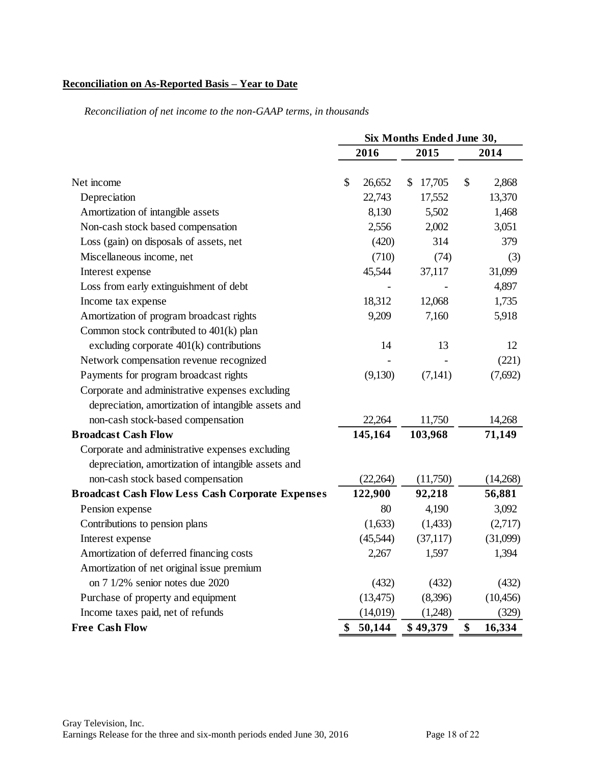# **Reconciliation on As-Reported Basis – Year to Date**

|                                                         | Six Months Ended June 30, |           |              |      |           |
|---------------------------------------------------------|---------------------------|-----------|--------------|------|-----------|
|                                                         | 2016                      |           | 2015         | 2014 |           |
| Net income                                              | \$                        | 26,652    | 17,705<br>\$ | \$   | 2,868     |
| Depreciation                                            |                           | 22,743    | 17,552       |      | 13,370    |
| Amortization of intangible assets                       |                           | 8,130     | 5,502        |      | 1,468     |
| Non-cash stock based compensation                       |                           | 2,556     | 2,002        |      | 3,051     |
| Loss (gain) on disposals of assets, net                 |                           | (420)     | 314          |      | 379       |
| Miscellaneous income, net                               |                           | (710)     | (74)         |      | (3)       |
| Interest expense                                        |                           | 45,544    | 37,117       |      | 31,099    |
| Loss from early extinguishment of debt                  |                           |           |              |      | 4,897     |
| Income tax expense                                      |                           | 18,312    | 12,068       |      | 1,735     |
| Amortization of program broadcast rights                |                           | 9,209     | 7,160        |      | 5,918     |
| Common stock contributed to 401(k) plan                 |                           |           |              |      |           |
| excluding corporate $401(k)$ contributions              |                           | 14        | 13           |      | 12        |
| Network compensation revenue recognized                 |                           |           |              |      | (221)     |
| Payments for program broadcast rights                   |                           | (9,130)   | (7,141)      |      | (7,692)   |
| Corporate and administrative expenses excluding         |                           |           |              |      |           |
| depreciation, amortization of intangible assets and     |                           |           |              |      |           |
| non-cash stock-based compensation                       |                           | 22,264    | 11,750       |      | 14,268    |
| <b>Broadcast Cash Flow</b>                              |                           | 145,164   | 103,968      |      | 71,149    |
| Corporate and administrative expenses excluding         |                           |           |              |      |           |
| depreciation, amortization of intangible assets and     |                           |           |              |      |           |
| non-cash stock based compensation                       |                           | (22, 264) | (11,750)     |      | (14,268)  |
| <b>Broadcast Cash Flow Less Cash Corporate Expenses</b> |                           | 122,900   | 92,218       |      | 56,881    |
| Pension expense                                         |                           | 80        | 4,190        |      | 3,092     |
| Contributions to pension plans                          |                           | (1,633)   | (1, 433)     |      | (2,717)   |
| Interest expense                                        |                           | (45,544)  | (37, 117)    |      | (31,099)  |
| Amortization of deferred financing costs                |                           | 2,267     | 1,597        |      | 1,394     |
| Amortization of net original issue premium              |                           |           |              |      |           |
| on 7 1/2% senior notes due 2020                         |                           | (432)     | (432)        |      | (432)     |
| Purchase of property and equipment                      |                           | (13, 475) | (8,396)      |      | (10, 456) |
| Income taxes paid, net of refunds                       |                           | (14,019)  | (1,248)      |      | (329)     |
| <b>Free Cash Flow</b>                                   | \$                        | 50,144    | \$49,379     | \$   | 16,334    |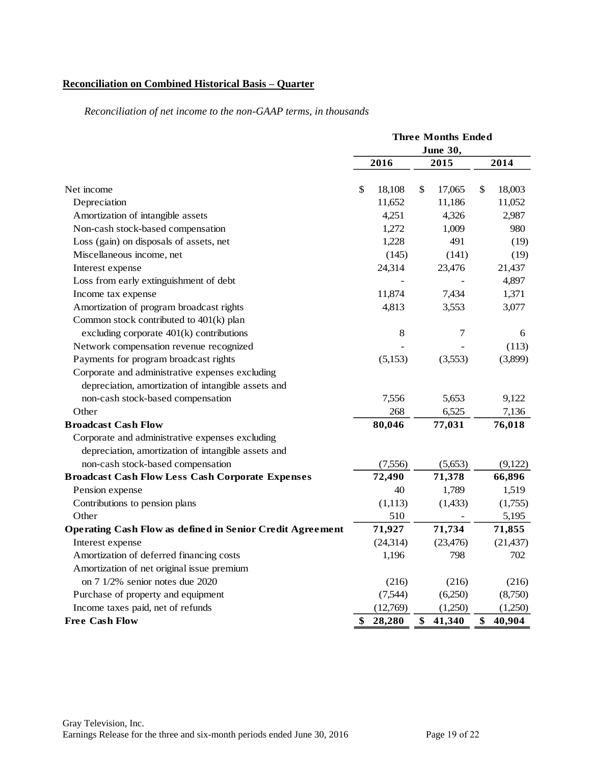# **Reconciliation on Combined Historical Basis – Quarter**

|                                                                  | <b>Three Months Ended</b> |           |    |           |    |           |
|------------------------------------------------------------------|---------------------------|-----------|----|-----------|----|-----------|
|                                                                  | <b>June 30,</b>           |           |    |           |    |           |
|                                                                  |                           | 2016      |    | 2015      |    | 2014      |
| Net income                                                       | $\mathcal{S}$             | 18,108    | \$ | 17,065    | \$ | 18,003    |
| Depreciation                                                     |                           | 11,652    |    | 11,186    |    | 11,052    |
| Amortization of intangible assets                                |                           | 4,251     |    | 4,326     |    | 2,987     |
| Non-cash stock-based compensation                                |                           | 1,272     |    | 1,009     |    | 980       |
| Loss (gain) on disposals of assets, net                          |                           | 1,228     |    | 491       |    | (19)      |
| Miscellaneous income, net                                        |                           | (145)     |    | (141)     |    | (19)      |
| Interest expense                                                 |                           | 24,314    |    | 23,476    |    | 21,437    |
| Loss from early extinguishment of debt                           |                           |           |    |           |    | 4,897     |
| Income tax expense                                               |                           | 11,874    |    | 7,434     |    | 1,371     |
| Amortization of program broadcast rights                         |                           | 4,813     |    | 3,553     |    | 3,077     |
| Common stock contributed to 401(k) plan                          |                           |           |    |           |    |           |
| excluding corporate 401(k) contributions                         |                           | $\,8\,$   |    | 7         |    | 6         |
| Network compensation revenue recognized                          |                           |           |    |           |    | (113)     |
| Payments for program broadcast rights                            |                           | (5,153)   |    | (3,553)   |    | (3,899)   |
| Corporate and administrative expenses excluding                  |                           |           |    |           |    |           |
| depreciation, amortization of intangible assets and              |                           |           |    |           |    |           |
| non-cash stock-based compensation                                |                           | 7,556     |    | 5,653     |    | 9,122     |
| Other                                                            |                           | 268       |    | 6,525     |    | 7,136     |
| <b>Broadcast Cash Flow</b>                                       |                           | 80,046    |    | 77,031    |    | 76,018    |
| Corporate and administrative expenses excluding                  |                           |           |    |           |    |           |
| depreciation, amortization of intangible assets and              |                           |           |    |           |    |           |
| non-cash stock-based compensation                                |                           | (7,556)   |    | (5,653)   |    | (9,122)   |
| <b>Broadcast Cash Flow Less Cash Corporate Expenses</b>          |                           | 72,490    |    | 71,378    |    | 66,896    |
| Pension expense                                                  |                           | 40        |    | 1,789     |    | 1,519     |
| Contributions to pension plans                                   |                           | (1, 113)  |    | (1, 433)  |    | (1,755)   |
| Other                                                            |                           | 510       |    |           |    | 5,195     |
| <b>Operating Cash Flow as defined in Senior Credit Agreement</b> |                           | 71,927    |    | 71,734    |    | 71,855    |
| Interest expense                                                 |                           | (24, 314) |    | (23, 476) |    | (21, 437) |
| Amortization of deferred financing costs                         |                           | 1,196     |    | 798       |    | 702       |
| Amortization of net original issue premium                       |                           |           |    |           |    |           |
| on 7 1/2% senior notes due 2020                                  |                           | (216)     |    | (216)     |    | (216)     |
| Purchase of property and equipment                               |                           | (7,544)   |    | (6,250)   |    | (8,750)   |
| Income taxes paid, net of refunds                                |                           | (12,769)  |    | (1,250)   |    | (1,250)   |
| <b>Free Cash Flow</b>                                            | \$                        | 28,280    | \$ | 41,340    | \$ | 40,904    |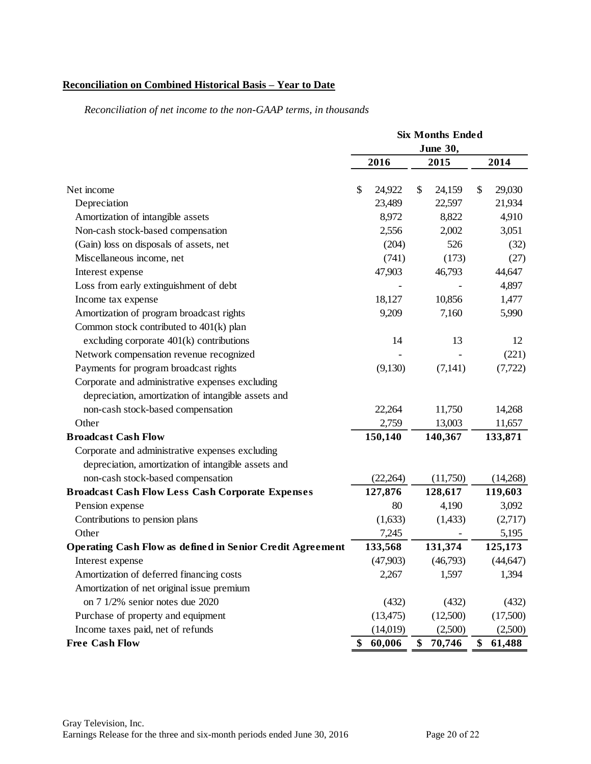# **Reconciliation on Combined Historical Basis – Year to Date**

|                                                                  | <b>Six Months Ended</b> |           |      |          |      |           |
|------------------------------------------------------------------|-------------------------|-----------|------|----------|------|-----------|
|                                                                  | <b>June 30,</b>         |           |      |          |      |           |
|                                                                  |                         | 2016      | 2015 |          | 2014 |           |
| Net income                                                       | \$                      | 24,922    | \$   | 24,159   | \$   | 29,030    |
| Depreciation                                                     |                         | 23,489    |      | 22,597   |      | 21,934    |
| Amortization of intangible assets                                |                         | 8,972     |      | 8,822    |      | 4,910     |
| Non-cash stock-based compensation                                |                         | 2,556     |      | 2,002    |      | 3,051     |
| (Gain) loss on disposals of assets, net                          |                         | (204)     |      | 526      |      | (32)      |
| Miscellaneous income, net                                        |                         | (741)     |      | (173)    |      | (27)      |
| Interest expense                                                 |                         | 47,903    |      | 46,793   |      | 44,647    |
| Loss from early extinguishment of debt                           |                         |           |      |          |      | 4,897     |
| Income tax expense                                               |                         | 18,127    |      | 10,856   |      | 1,477     |
| Amortization of program broadcast rights                         |                         | 9,209     |      | 7,160    |      | 5,990     |
| Common stock contributed to 401(k) plan                          |                         |           |      |          |      |           |
| excluding corporate $401(k)$ contributions                       |                         | 14        |      | 13       |      | 12        |
| Network compensation revenue recognized                          |                         |           |      |          |      | (221)     |
| Payments for program broadcast rights                            |                         | (9,130)   |      | (7,141)  |      | (7, 722)  |
| Corporate and administrative expenses excluding                  |                         |           |      |          |      |           |
| depreciation, amortization of intangible assets and              |                         |           |      |          |      |           |
| non-cash stock-based compensation                                |                         | 22,264    |      | 11,750   |      | 14,268    |
| Other                                                            |                         | 2,759     |      | 13,003   |      | 11,657    |
| <b>Broadcast Cash Flow</b>                                       |                         | 150,140   |      | 140,367  |      | 133,871   |
| Corporate and administrative expenses excluding                  |                         |           |      |          |      |           |
| depreciation, amortization of intangible assets and              |                         |           |      |          |      |           |
| non-cash stock-based compensation                                |                         | (22, 264) |      | (11,750) |      | (14,268)  |
| <b>Broadcast Cash Flow Less Cash Corporate Expenses</b>          |                         | 127,876   |      | 128,617  |      | 119,603   |
| Pension expense                                                  |                         | 80        |      | 4,190    |      | 3,092     |
| Contributions to pension plans                                   |                         | (1,633)   |      | (1, 433) |      | (2,717)   |
| Other                                                            |                         | 7,245     |      |          |      | 5,195     |
| <b>Operating Cash Flow as defined in Senior Credit Agreement</b> |                         | 133,568   |      | 131,374  |      | 125,173   |
| Interest expense                                                 |                         | (47,903)  |      | (46,793) |      | (44, 647) |
| Amortization of deferred financing costs                         |                         | 2,267     |      | 1,597    |      | 1,394     |
| Amortization of net original issue premium                       |                         |           |      |          |      |           |
| on 7 1/2% senior notes due 2020                                  |                         | (432)     |      | (432)    |      | (432)     |
| Purchase of property and equipment                               |                         | (13, 475) |      | (12,500) |      | (17,500)  |
| Income taxes paid, net of refunds                                |                         | (14,019)  |      | (2,500)  |      | (2,500)   |
| <b>Free Cash Flow</b>                                            | \$                      | 60,006    | \$   | 70,746   | \$   | 61,488    |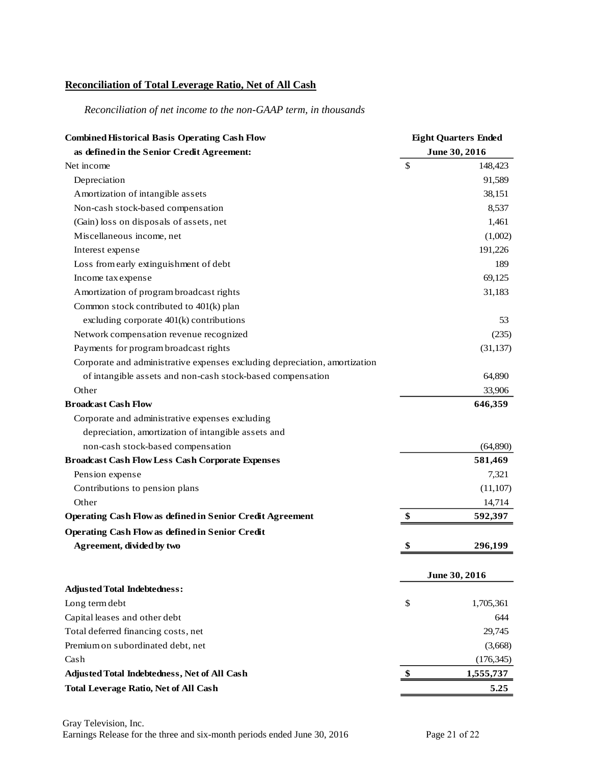# **Reconciliation of Total Leverage Ratio, Net of All Cash**

| <b>Combined Historical Basis Operating Cash Flow</b>                       | <b>Eight Quarters Ended</b> |               |
|----------------------------------------------------------------------------|-----------------------------|---------------|
| as defined in the Senior Credit Agreement:                                 |                             | June 30, 2016 |
| Net income                                                                 | \$                          | 148,423       |
| Depreciation                                                               |                             | 91,589        |
| Amortization of intangible assets                                          |                             | 38,151        |
| Non-cash stock-based compensation                                          |                             | 8,537         |
| (Gain) loss on disposals of assets, net                                    |                             | 1,461         |
| Miscellaneous income, net                                                  |                             | (1,002)       |
| Interest expense                                                           |                             | 191,226       |
| Loss from early extinguishment of debt                                     |                             | 189           |
| Income tax expense                                                         |                             | 69,125        |
| Amortization of program broadcast rights                                   |                             | 31,183        |
| Common stock contributed to 401(k) plan                                    |                             |               |
| excluding corporate 401(k) contributions                                   |                             | 53            |
| Network compensation revenue recognized                                    |                             | (235)         |
| Payments for program broadcast rights                                      |                             | (31, 137)     |
| Corporate and administrative expenses excluding depreciation, amortization |                             |               |
| of intangible assets and non-cash stock-based compensation                 |                             | 64,890        |
| Other                                                                      |                             | 33,906        |
| <b>Broadcast Cash Flow</b>                                                 |                             | 646,359       |
| Corporate and administrative expenses excluding                            |                             |               |
| depreciation, amortization of intangible assets and                        |                             |               |
| non-cash stock-based compensation                                          |                             | (64,890)      |
| <b>Broadcast Cash Flow Less Cash Corporate Expenses</b>                    |                             | 581,469       |
| Pension expense                                                            |                             | 7,321         |
| Contributions to pension plans                                             |                             | (11, 107)     |
| Other                                                                      |                             | 14,714        |
| <b>Operating Cash Flow as defined in Senior Credit Agreement</b>           | \$                          | 592,397       |
| <b>Operating Cash Flow as defined in Senior Credit</b>                     |                             |               |
| Agreement, divided by two                                                  | S                           | 296,199       |
|                                                                            |                             | June 30, 2016 |
| <b>Adjusted Total Indebtedness:</b>                                        |                             |               |
| Long term debt                                                             | \$                          | 1,705,361     |
| Capital leases and other debt                                              |                             | 644           |
| Total deferred financing costs, net                                        |                             | 29,745        |
| Premium on subordinated debt, net                                          |                             | (3,668)       |
| Cash                                                                       |                             | (176, 345)    |
| Adjusted Total Indebtedness, Net of All Cash                               | \$                          | 1,555,737     |
| <b>Total Leverage Ratio, Net of All Cash</b>                               |                             | 5.25          |